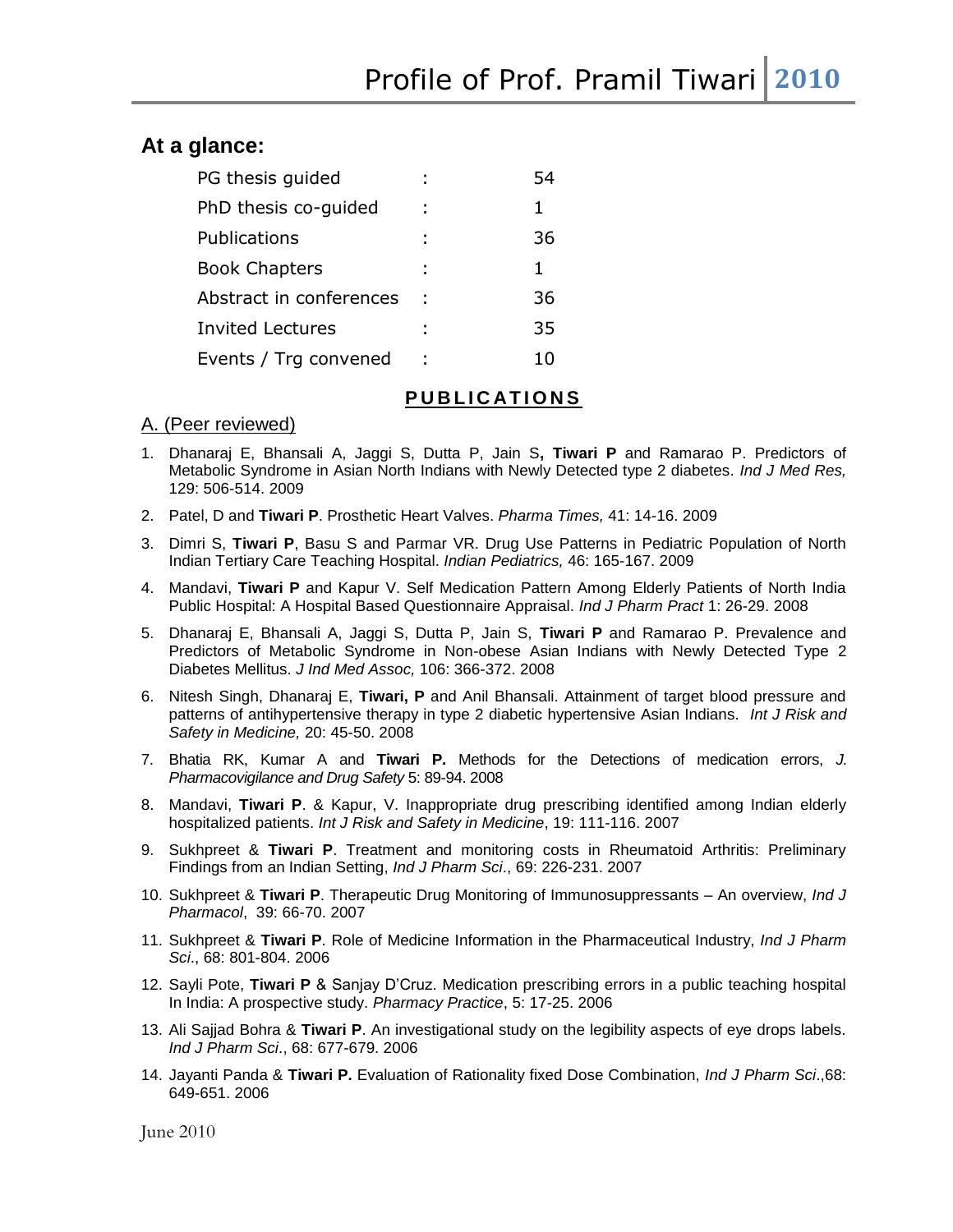## **At a glance:**

| PG thesis guided        | 54 |
|-------------------------|----|
| PhD thesis co-guided    | 1  |
| Publications            | 36 |
| <b>Book Chapters</b>    | 1  |
| Abstract in conferences | 36 |
| <b>Invited Lectures</b> | 35 |
| Events / Trg convened   |    |

## **P U B L I C AT I O N S**

### A. (Peer reviewed)

- 1. Dhanaraj E, Bhansali A, Jaggi S, Dutta P, Jain S**, Tiwari P** and Ramarao P. Predictors of Metabolic Syndrome in Asian North Indians with Newly Detected type 2 diabetes. *Ind J Med Res,* 129: 506-514. 2009
- 2. Patel, D and **Tiwari P**. Prosthetic Heart Valves. *Pharma Times,* 41: 14-16. 2009
- 3. Dimri S, **Tiwari P**, Basu S and Parmar VR. Drug Use Patterns in Pediatric Population of North Indian Tertiary Care Teaching Hospital. *Indian Pediatrics,* 46: 165-167. 2009
- 4. Mandavi, **Tiwari P** and Kapur V. Self Medication Pattern Among Elderly Patients of North India Public Hospital: A Hospital Based Questionnaire Appraisal. *Ind J Pharm Pract* 1: 26-29. 2008
- 5. Dhanaraj E, Bhansali A, Jaggi S, Dutta P, Jain S, **Tiwari P** and Ramarao P. Prevalence and Predictors of Metabolic Syndrome in Non-obese Asian Indians with Newly Detected Type 2 Diabetes Mellitus. *J Ind Med Assoc,* 106: 366-372. 2008
- 6. Nitesh Singh, Dhanaraj E, **Tiwari, P** and Anil Bhansali. Attainment of target blood pressure and patterns of antihypertensive therapy in type 2 diabetic hypertensive Asian Indians. *Int J Risk and Safety in Medicine,* 20: 45-50. 2008
- 7. Bhatia RK, Kumar A and **Tiwari P.** Methods for the Detections of medication errors, *J. Pharmacovigilance and Drug Safety* 5: 89-94. 2008
- 8. Mandavi, **Tiwari P**. & Kapur, V. Inappropriate drug prescribing identified among Indian elderly hospitalized patients. *Int J Risk and Safety in Medicine*, 19: 111-116. 2007
- 9. Sukhpreet & **Tiwari P**. Treatment and monitoring costs in Rheumatoid Arthritis: Preliminary Findings from an Indian Setting, *Ind J Pharm Sci*., 69: 226-231. 2007
- 10. Sukhpreet & **Tiwari P**. Therapeutic Drug Monitoring of Immunosuppressants An overview, *Ind J Pharmacol*, 39: 66-70. 2007
- 11. Sukhpreet & **Tiwari P**. Role of Medicine Information in the Pharmaceutical Industry, *Ind J Pharm Sci*., 68: 801-804. 2006
- 12. Sayli Pote, **Tiwari P** & Sanjay D"Cruz. Medication prescribing errors in a public teaching hospital In India: A prospective study. *Pharmacy Practice*, 5: 17-25. 2006
- 13. Ali Sajjad Bohra & **Tiwari P**. An investigational study on the legibility aspects of eye drops labels. *Ind J Pharm Sci*., 68: 677-679. 2006
- 14. Jayanti Panda & **Tiwari P.** Evaluation of Rationality fixed Dose Combination, *Ind J Pharm Sci*.,68: 649-651. 2006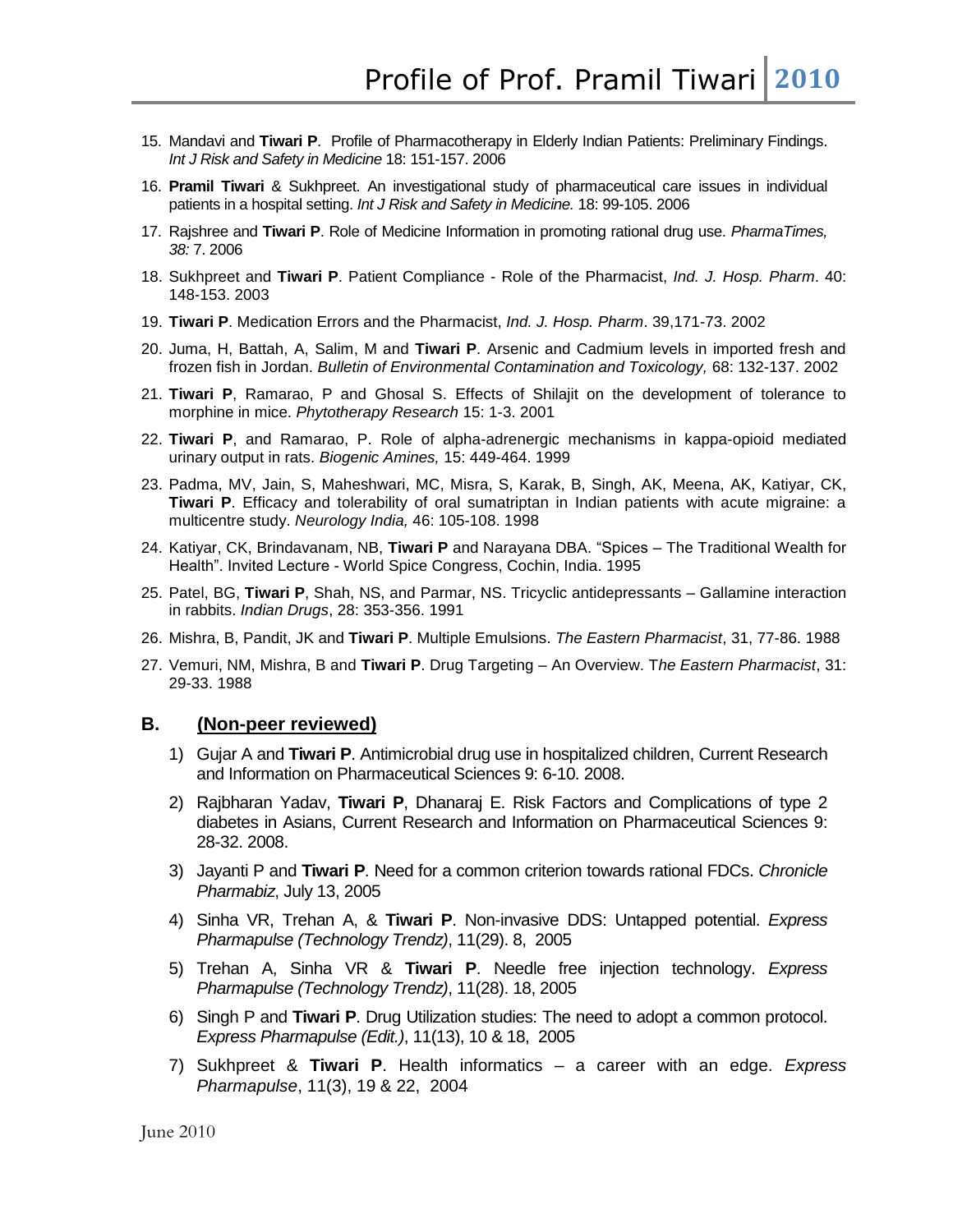- 15. Mandavi and **Tiwari P**. Profile of Pharmacotherapy in Elderly Indian Patients: Preliminary Findings. *Int J Risk and Safety in Medicine* 18: 151-157. 2006
- 16. **Pramil Tiwari** & Sukhpreet. An investigational study of pharmaceutical care issues in individual patients in a hospital setting. *Int J Risk and Safety in Medicine.* 18: 99-105. 2006
- 17. Rajshree and **Tiwari P**. Role of Medicine Information in promoting rational drug use. *PharmaTimes, 38:* 7. 2006
- 18. Sukhpreet and **Tiwari P**. Patient Compliance Role of the Pharmacist, *Ind. J. Hosp. Pharm*. 40: 148-153. 2003
- 19. **Tiwari P**. Medication Errors and the Pharmacist, *Ind. J. Hosp. Pharm*. 39,171-73. 2002
- 20. Juma, H, Battah, A, Salim, M and **Tiwari P**. Arsenic and Cadmium levels in imported fresh and frozen fish in Jordan. *Bulletin of Environmental Contamination and Toxicology,* 68: 132-137. 2002
- 21. **Tiwari P**, Ramarao, P and Ghosal S. Effects of Shilajit on the development of tolerance to morphine in mice. *Phytotherapy Research* 15: 1-3. 2001
- 22. **Tiwari P**, and Ramarao, P. Role of alpha-adrenergic mechanisms in kappa-opioid mediated urinary output in rats. *Biogenic Amines,* 15: 449-464. 1999
- 23. Padma, MV, Jain, S, Maheshwari, MC, Misra, S, Karak, B, Singh, AK, Meena, AK, Katiyar, CK, **Tiwari P**. Efficacy and tolerability of oral sumatriptan in Indian patients with acute migraine: a multicentre study. *Neurology India,* 46: 105-108. 1998
- 24. Katiyar, CK, Brindavanam, NB, **Tiwari P** and Narayana DBA. "Spices The Traditional Wealth for Health". Invited Lecture - World Spice Congress, Cochin, India. 1995
- 25. Patel, BG, **Tiwari P**, Shah, NS, and Parmar, NS. Tricyclic antidepressants Gallamine interaction in rabbits. *Indian Drugs*, 28: 353-356. 1991
- 26. Mishra, B, Pandit, JK and **Tiwari P**. Multiple Emulsions. *The Eastern Pharmacist*, 31, 77-86. 1988
- 27. Vemuri, NM, Mishra, B and **Tiwari P**. Drug Targeting An Overview. T*he Eastern Pharmacist*, 31: 29-33. 1988

#### **B. (Non-peer reviewed)**

- 1) Gujar A and **Tiwari P**. Antimicrobial drug use in hospitalized children, Current Research and Information on Pharmaceutical Sciences 9: 6-10. 2008.
- 2) Rajbharan Yadav, **Tiwari P**, Dhanaraj E. Risk Factors and Complications of type 2 diabetes in Asians, Current Research and Information on Pharmaceutical Sciences 9: 28-32. 2008.
- 3) Jayanti P and **Tiwari P**. Need for a common criterion towards rational FDCs. *Chronicle Pharmabiz*, July 13, 2005
- 4) Sinha VR, Trehan A, & **Tiwari P**. Non-invasive DDS: Untapped potential. *Express Pharmapulse (Technology Trendz)*, 11(29). 8, 2005
- 5) Trehan A, Sinha VR & **Tiwari P**. Needle free injection technology. *Express Pharmapulse (Technology Trendz)*, 11(28). 18, 2005
- 6) Singh P and **Tiwari P**. Drug Utilization studies: The need to adopt a common protocol. *Express Pharmapulse (Edit.)*, 11(13), 10 & 18, 2005
- 7) Sukhpreet & **Tiwari P**. Health informatics a career with an edge. *Express Pharmapulse*, 11(3), 19 & 22, 2004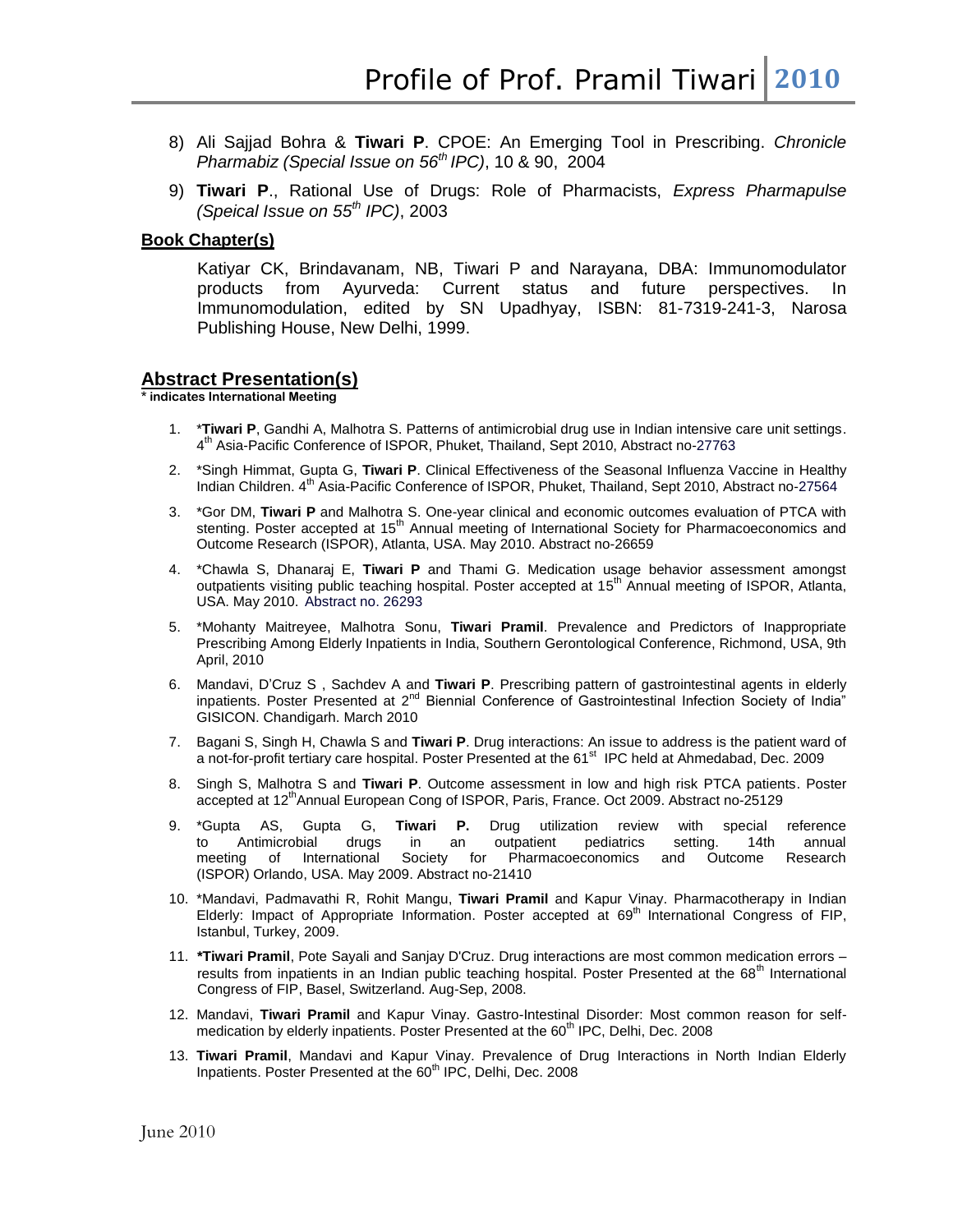Profile of Prof. Pramil Tiwari 2010

- 8) Ali Sajjad Bohra & **Tiwari P**. CPOE: An Emerging Tool in Prescribing. *Chronicle Pharmabiz (Special Issue on 56th IPC)*, 10 & 90, 2004
- 9) **Tiwari P**., Rational Use of Drugs: Role of Pharmacists, *Express Pharmapulse (Speical Issue on 55th IPC)*, 2003

### **Book Chapter(s)**

Katiyar CK, Brindavanam, NB, Tiwari P and Narayana, DBA: Immunomodulator products from Ayurveda: Current status and future perspectives. In Immunomodulation, edited by SN Upadhyay, ISBN: 81-7319-241-3, Narosa Publishing House, New Delhi, 1999.

#### **Abstract Presentation(s)**

**\* indicates International Meeting**

- 1. \***Tiwari P**, Gandhi A, Malhotra S. Patterns of antimicrobial drug use in Indian intensive care unit settings. 4<sup>th</sup> Asia-Pacific Conference of ISPOR, Phuket, Thailand, Sept 2010, Abstract no-27763
- 2. \*Singh Himmat, Gupta G, **Tiwari P**. Clinical Effectiveness of the Seasonal Influenza Vaccine in Healthy Indian Children. 4<sup>th</sup> Asia-Pacific Conference of ISPOR, Phuket, Thailand, Sept 2010, Abstract no-27564
- 3. \*Gor DM, **Tiwari P** and Malhotra S. One-year clinical and economic outcomes evaluation of PTCA with stenting. Poster accepted at 15<sup>th</sup> Annual meeting of International Society for Pharmacoeconomics and Outcome Research (ISPOR), Atlanta, USA. May 2010. Abstract no-26659
- 4. \*Chawla S, Dhanaraj E, **Tiwari P** and Thami G. Medication usage behavior assessment amongst outpatients visiting public teaching hospital. Poster accepted at 15<sup>th</sup> Annual meeting of ISPOR, Atlanta, USA. May 2010. Abstract no. 26293
- 5. \*Mohanty Maitreyee, Malhotra Sonu, **Tiwari Pramil**. Prevalence and Predictors of Inappropriate Prescribing Among Elderly Inpatients in India, Southern Gerontological Conference, Richmond, USA, 9th April, 2010
- 6. Mandavi, D"Cruz S , Sachdev A and **Tiwari P**. Prescribing pattern of gastrointestinal agents in elderly inpatients. Poster Presented at 2<sup>nd</sup> Biennial Conference of Gastrointestinal Infection Society of India" GISICON. Chandigarh. March 2010
- 7. Bagani S, Singh H, Chawla S and **Tiwari P**. Drug interactions: An issue to address is the patient ward of a not-for-profit tertiary care hospital. Poster Presented at the 61<sup>st</sup> IPC held at Ahmedabad, Dec. 2009
- 8. Singh S, Malhotra S and **Tiwari P**. Outcome assessment in low and high risk PTCA patients. Poster accepted at 12<sup>th</sup>Annual European Cong of ISPOR, Paris, France. Oct 2009. Abstract no-25129
- 9. \*Gupta AS, Gupta G, **Tiwari P.** Drug utilization review with special reference to Antimicrobial drugs in an outpatient pediatrics setting. 14th annual meeting of International Society for Pharmacoeconomics and Outcome Research (ISPOR) Orlando, USA. May 2009. Abstract no-21410
- 10. \*Mandavi, Padmavathi R, Rohit Mangu, **Tiwari Pramil** and Kapur Vinay. Pharmacotherapy in Indian Elderly: Impact of Appropriate Information. Poster accepted at  $69<sup>th</sup>$  International Congress of FIP, Istanbul, Turkey, 2009.
- 11. **\*Tiwari Pramil**, Pote Sayali and Sanjay D'Cruz. Drug interactions are most common medication errors results from inpatients in an Indian public teaching hospital. Poster Presented at the 68<sup>th</sup> International Congress of FIP, Basel, Switzerland. Aug-Sep, 2008.
- 12. Mandavi, **Tiwari Pramil** and Kapur Vinay. Gastro-Intestinal Disorder: Most common reason for selfmedication by elderly inpatients. Poster Presented at the 60<sup>th</sup> IPC, Delhi, Dec. 2008
- 13. **Tiwari Pramil**, Mandavi and Kapur Vinay. Prevalence of Drug Interactions in North Indian Elderly Inpatients. Poster Presented at the 60<sup>th</sup> IPC, Delhi, Dec. 2008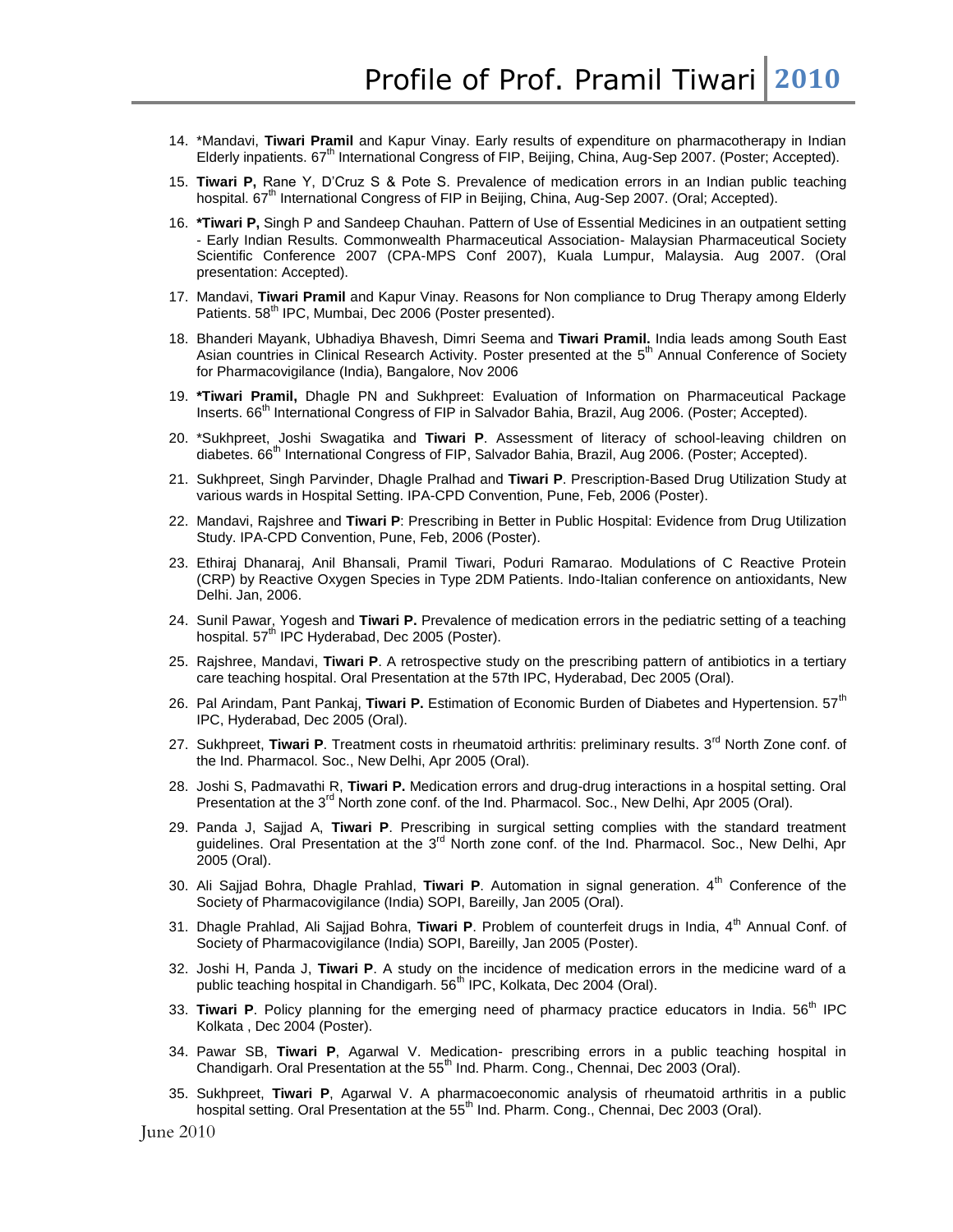- 14. \*Mandavi, **Tiwari Pramil** and Kapur Vinay. Early results of expenditure on pharmacotherapy in Indian Elderly inpatients.  $67^{\text{th}}$  International Congress of FIP, Beijing, China, Aug-Sep 2007. (Poster; Accepted).
- 15. **Tiwari P,** Rane Y, D"Cruz S & Pote S. Prevalence of medication errors in an Indian public teaching hospital. 67<sup>th</sup> International Congress of FIP in Beijing, China, Aug-Sep 2007. (Oral; Accepted).
- 16. **\*Tiwari P,** Singh P and Sandeep Chauhan. Pattern of Use of Essential Medicines in an outpatient setting - Early Indian Results. Commonwealth Pharmaceutical Association- Malaysian Pharmaceutical Society Scientific Conference 2007 (CPA-MPS Conf 2007), Kuala Lumpur, Malaysia. Aug 2007. (Oral presentation: Accepted).
- 17. Mandavi, **Tiwari Pramil** and Kapur Vinay. Reasons for Non compliance to Drug Therapy among Elderly Patients. 58<sup>th</sup> IPC, Mumbai, Dec 2006 (Poster presented).
- 18. Bhanderi Mayank, Ubhadiya Bhavesh, Dimri Seema and **Tiwari Pramil.** India leads among South East Asian countries in Clinical Research Activity. Poster presented at the 5<sup>th</sup> Annual Conference of Society for Pharmacovigilance (India), Bangalore, Nov 2006
- 19. **\*Tiwari Pramil,** Dhagle PN and Sukhpreet: Evaluation of Information on Pharmaceutical Package Inserts. 66<sup>th</sup> International Congress of FIP in Salvador Bahia, Brazil, Aug 2006. (Poster; Accepted).
- 20. \*Sukhpreet, Joshi Swagatika and **Tiwari P**. Assessment of literacy of school-leaving children on diabetes. 66<sup>th</sup> International Congress of FIP, Salvador Bahia, Brazil, Aug 2006. (Poster; Accepted).
- 21. Sukhpreet, Singh Parvinder, Dhagle Pralhad and **Tiwari P**. Prescription-Based Drug Utilization Study at various wards in Hospital Setting. IPA-CPD Convention, Pune, Feb, 2006 (Poster).
- 22. Mandavi, Rajshree and **Tiwari P**: Prescribing in Better in Public Hospital: Evidence from Drug Utilization Study. IPA-CPD Convention, Pune, Feb, 2006 (Poster).
- 23. Ethiraj Dhanaraj, Anil Bhansali, Pramil Tiwari, Poduri Ramarao. Modulations of C Reactive Protein (CRP) by Reactive Oxygen Species in Type 2DM Patients. Indo-Italian conference on antioxidants, New Delhi. Jan, 2006.
- 24. Sunil Pawar, Yogesh and **Tiwari P.** Prevalence of medication errors in the pediatric setting of a teaching hospital. 57<sup>th</sup> IPC Hyderabad, Dec 2005 (Poster).
- 25. Rajshree, Mandavi, **Tiwari P**. A retrospective study on the prescribing pattern of antibiotics in a tertiary care teaching hospital. Oral Presentation at the 57th IPC, Hyderabad, Dec 2005 (Oral).
- 26. Pal Arindam, Pant Pankaj, **Tiwari P.** Estimation of Economic Burden of Diabetes and Hypertension. 57th IPC, Hyderabad, Dec 2005 (Oral).
- 27. Sukhpreet, Tiwari P. Treatment costs in rheumatoid arthritis: preliminary results. 3<sup>rd</sup> North Zone conf. of the Ind. Pharmacol. Soc., New Delhi, Apr 2005 (Oral).
- 28. Joshi S, Padmavathi R, **Tiwari P.** Medication errors and drug-drug interactions in a hospital setting. Oral Presentation at the 3<sup>rd</sup> North zone conf. of the Ind. Pharmacol. Soc., New Delhi, Apr 2005 (Oral).
- 29. Panda J, Sajjad A, **Tiwari P**. Prescribing in surgical setting complies with the standard treatment guidelines. Oral Presentation at the 3<sup>rd</sup> North zone conf. of the Ind. Pharmacol. Soc., New Delhi, Apr 2005 (Oral).
- 30. Ali Sajjad Bohra, Dhagle Prahlad, **Tiwari P**. Automation in signal generation. 4th Conference of the Society of Pharmacovigilance (India) SOPI, Bareilly, Jan 2005 (Oral).
- 31. Dhagle Prahlad, Ali Sajjad Bohra, **Tiwari P**. Problem of counterfeit drugs in India, 4th Annual Conf. of Society of Pharmacovigilance (India) SOPI, Bareilly, Jan 2005 (Poster).
- 32. Joshi H, Panda J, **Tiwari P**. A study on the incidence of medication errors in the medicine ward of a public teaching hospital in Chandigarh. 56<sup>th</sup> IPC, Kolkata, Dec 2004 (Oral).
- 33. **Tiwari P**. Policy planning for the emerging need of pharmacy practice educators in India. 56th IPC Kolkata , Dec 2004 (Poster).
- 34. Pawar SB, **Tiwari P**, Agarwal V. Medication- prescribing errors in a public teaching hospital in Chandigarh. Oral Presentation at the 55<sup>th</sup> Ind. Pharm. Cong., Chennai, Dec 2003 (Oral).
- 35. Sukhpreet, **Tiwari P**, Agarwal V. A pharmacoeconomic analysis of rheumatoid arthritis in a public hospital setting. Oral Presentation at the 55<sup>th</sup> Ind. Pharm. Cong., Chennai, Dec 2003 (Oral).

June 2010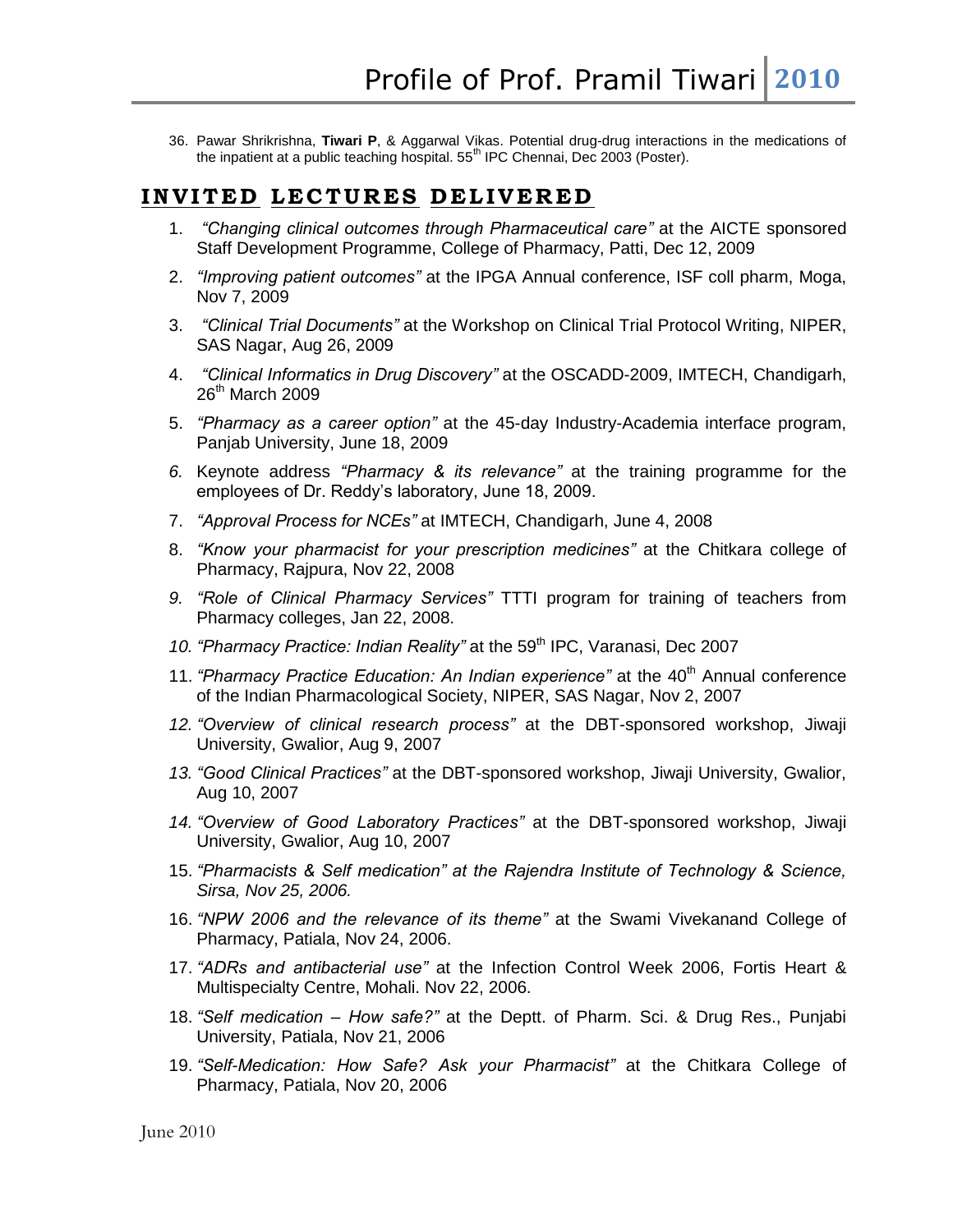36. Pawar Shrikrishna, **Tiwari P**, & Aggarwal Vikas. Potential drug-drug interactions in the medications of the inpatient at a public teaching hospital. 55<sup>th</sup> IPC Chennai, Dec 2003 (Poster).

## **I N V I T E D L E C T U R E S D E L I V E R E D**

- 1. *"Changing clinical outcomes through Pharmaceutical care"* at the AICTE sponsored Staff Development Programme, College of Pharmacy, Patti, Dec 12, 2009
- 2. *"Improving patient outcomes"* at the IPGA Annual conference, ISF coll pharm, Moga, Nov 7, 2009
- 3. *"Clinical Trial Documents"* at the Workshop on Clinical Trial Protocol Writing, NIPER, SAS Nagar, Aug 26, 2009
- 4. *"Clinical Informatics in Drug Discovery"* at the OSCADD-2009, IMTECH, Chandigarh, 26<sup>th</sup> March 2009
- 5. *"Pharmacy as a career option"* at the 45-day Industry-Academia interface program, Panjab University, June 18, 2009
- *6.* Keynote address *"Pharmacy & its relevance"* at the training programme for the employees of Dr. Reddy"s laboratory, June 18, 2009.
- 7. *"Approval Process for NCEs"* at IMTECH, Chandigarh, June 4, 2008
- 8. *"Know your pharmacist for your prescription medicines"* at the Chitkara college of Pharmacy, Rajpura, Nov 22, 2008
- *9. "Role of Clinical Pharmacy Services"* TTTI program for training of teachers from Pharmacy colleges, Jan 22, 2008.
- 10. *"Pharmacy Practice: Indian Reality"* at the 59<sup>th</sup> IPC, Varanasi, Dec 2007
- 11. *"Pharmacy Practice Education: An Indian experience"* at the 40<sup>th</sup> Annual conference of the Indian Pharmacological Society, NIPER, SAS Nagar, Nov 2, 2007
- *12. "Overview of clinical research process"* at the DBT-sponsored workshop, Jiwaji University, Gwalior, Aug 9, 2007
- *13. "Good Clinical Practices"* at the DBT-sponsored workshop, Jiwaji University, Gwalior, Aug 10, 2007
- *14. "Overview of Good Laboratory Practices"* at the DBT-sponsored workshop, Jiwaji University, Gwalior, Aug 10, 2007
- 15. *"Pharmacists & Self medication" at the Rajendra Institute of Technology & Science, Sirsa, Nov 25, 2006.*
- 16. *"NPW 2006 and the relevance of its theme"* at the Swami Vivekanand College of Pharmacy, Patiala, Nov 24, 2006.
- 17. *"ADRs and antibacterial use"* at the Infection Control Week 2006, Fortis Heart & Multispecialty Centre, Mohali. Nov 22, 2006.
- 18. *"Self medication – How safe?"* at the Deptt. of Pharm. Sci. & Drug Res., Punjabi University, Patiala, Nov 21, 2006
- 19. *"Self-Medication: How Safe? Ask your Pharmacist"* at the Chitkara College of Pharmacy, Patiala, Nov 20, 2006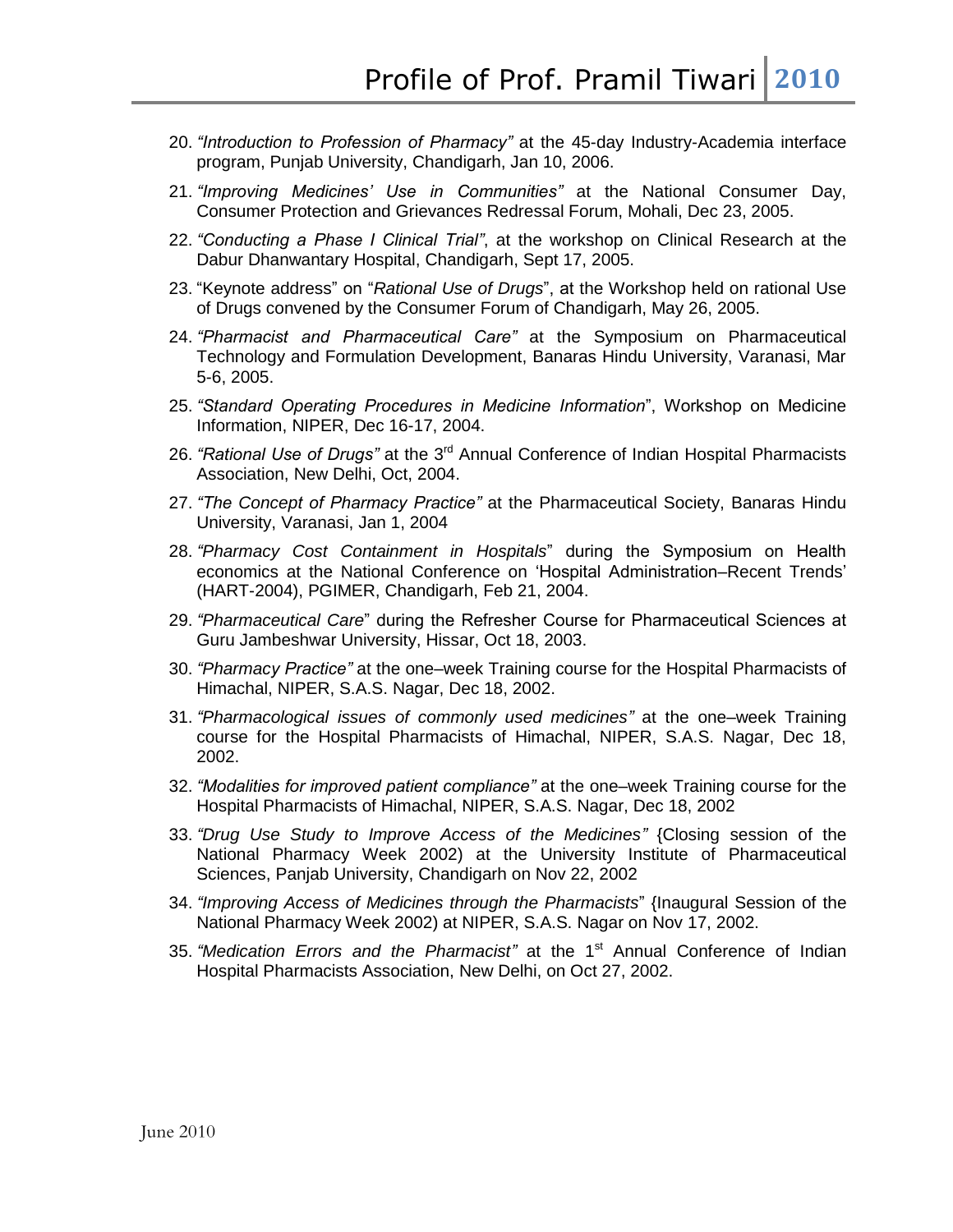- 20. *"Introduction to Profession of Pharmacy"* at the 45-day Industry-Academia interface program, Punjab University, Chandigarh, Jan 10, 2006.
- 21. *"Improving Medicines' Use in Communities"* at the National Consumer Day, Consumer Protection and Grievances Redressal Forum, Mohali, Dec 23, 2005.
- 22. *"Conducting a Phase I Clinical Trial"*, at the workshop on Clinical Research at the Dabur Dhanwantary Hospital, Chandigarh, Sept 17, 2005.
- 23. "Keynote address" on "*Rational Use of Drugs*", at the Workshop held on rational Use of Drugs convened by the Consumer Forum of Chandigarh, May 26, 2005.
- 24. *"Pharmacist and Pharmaceutical Care"* at the Symposium on Pharmaceutical Technology and Formulation Development, Banaras Hindu University, Varanasi, Mar 5-6, 2005.
- 25. *"Standard Operating Procedures in Medicine Information*", Workshop on Medicine Information, NIPER, Dec 16-17, 2004.
- 26. *"Rational Use of Drugs"* at the 3rd Annual Conference of Indian Hospital Pharmacists Association, New Delhi, Oct, 2004.
- 27. *"The Concept of Pharmacy Practice"* at the Pharmaceutical Society, Banaras Hindu University, Varanasi, Jan 1, 2004
- 28. *"Pharmacy Cost Containment in Hospitals*" during the Symposium on Health economics at the National Conference on "Hospital Administration–Recent Trends" (HART-2004), PGIMER, Chandigarh, Feb 21, 2004.
- 29. *"Pharmaceutical Care*" during the Refresher Course for Pharmaceutical Sciences at Guru Jambeshwar University, Hissar, Oct 18, 2003.
- 30. *"Pharmacy Practice"* at the one–week Training course for the Hospital Pharmacists of Himachal, NIPER, S.A.S. Nagar, Dec 18, 2002.
- 31. *"Pharmacological issues of commonly used medicines"* at the one–week Training course for the Hospital Pharmacists of Himachal, NIPER, S.A.S. Nagar, Dec 18, 2002.
- 32. *"Modalities for improved patient compliance"* at the one–week Training course for the Hospital Pharmacists of Himachal, NIPER, S.A.S. Nagar, Dec 18, 2002
- 33. *"Drug Use Study to Improve Access of the Medicines"* {Closing session of the National Pharmacy Week 2002) at the University Institute of Pharmaceutical Sciences, Panjab University, Chandigarh on Nov 22, 2002
- 34. *"Improving Access of Medicines through the Pharmacists*" {Inaugural Session of the National Pharmacy Week 2002) at NIPER, S.A.S. Nagar on Nov 17, 2002.
- 35. "Medication Errors and the Pharmacist" at the 1<sup>st</sup> Annual Conference of Indian Hospital Pharmacists Association, New Delhi, on Oct 27, 2002.